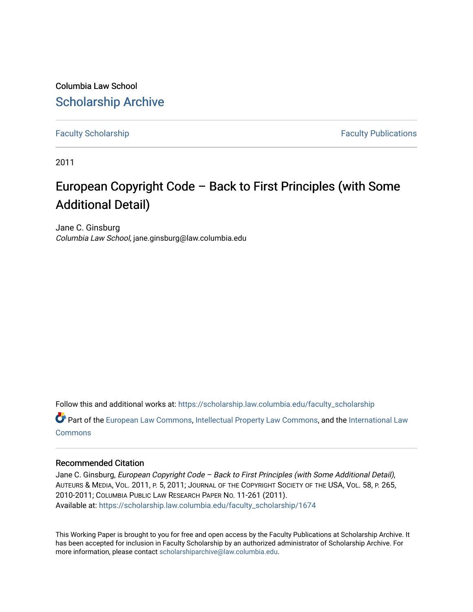Columbia Law School [Scholarship Archive](https://scholarship.law.columbia.edu/) 

[Faculty Scholarship](https://scholarship.law.columbia.edu/faculty_scholarship) **Faculty Scholarship** Faculty Publications

2011

### European Copyright Code – Back to First Principles (with Some Additional Detail)

Jane C. Ginsburg Columbia Law School, jane.ginsburg@law.columbia.edu

Follow this and additional works at: [https://scholarship.law.columbia.edu/faculty\\_scholarship](https://scholarship.law.columbia.edu/faculty_scholarship?utm_source=scholarship.law.columbia.edu%2Ffaculty_scholarship%2F1674&utm_medium=PDF&utm_campaign=PDFCoverPages)

Part of the [European Law Commons,](http://network.bepress.com/hgg/discipline/1084?utm_source=scholarship.law.columbia.edu%2Ffaculty_scholarship%2F1674&utm_medium=PDF&utm_campaign=PDFCoverPages) [Intellectual Property Law Commons,](http://network.bepress.com/hgg/discipline/896?utm_source=scholarship.law.columbia.edu%2Ffaculty_scholarship%2F1674&utm_medium=PDF&utm_campaign=PDFCoverPages) and the [International Law](http://network.bepress.com/hgg/discipline/609?utm_source=scholarship.law.columbia.edu%2Ffaculty_scholarship%2F1674&utm_medium=PDF&utm_campaign=PDFCoverPages) [Commons](http://network.bepress.com/hgg/discipline/609?utm_source=scholarship.law.columbia.edu%2Ffaculty_scholarship%2F1674&utm_medium=PDF&utm_campaign=PDFCoverPages)

#### Recommended Citation

Jane C. Ginsburg, European Copyright Code – Back to First Principles (with Some Additional Detail), AUTEURS & MEDIA, VOL. 2011, P. 5, 2011; JOURNAL OF THE COPYRIGHT SOCIETY OF THE USA, VOL. 58, P. 265, 2010-2011; COLUMBIA PUBLIC LAW RESEARCH PAPER NO. 11-261 (2011). Available at: [https://scholarship.law.columbia.edu/faculty\\_scholarship/1674](https://scholarship.law.columbia.edu/faculty_scholarship/1674?utm_source=scholarship.law.columbia.edu%2Ffaculty_scholarship%2F1674&utm_medium=PDF&utm_campaign=PDFCoverPages)

This Working Paper is brought to you for free and open access by the Faculty Publications at Scholarship Archive. It has been accepted for inclusion in Faculty Scholarship by an authorized administrator of Scholarship Archive. For more information, please contact [scholarshiparchive@law.columbia.edu.](mailto:scholarshiparchive@law.columbia.edu)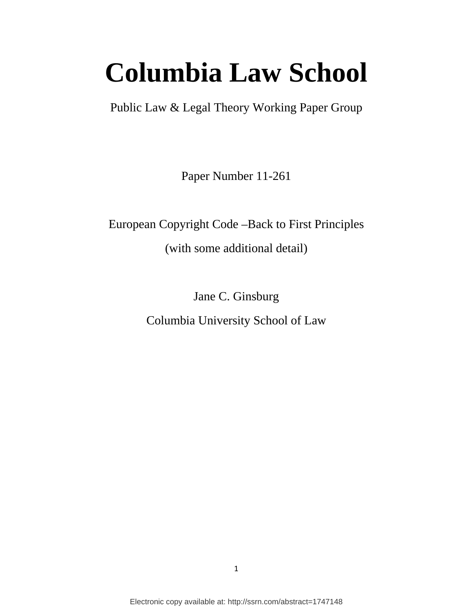# **Columbia Law School**

Public Law & Legal Theory Working Paper Group

Paper Number 11-261

European Copyright Code –Back to First Principles (with some additional detail)

Jane C. Ginsburg

Columbia University School of Law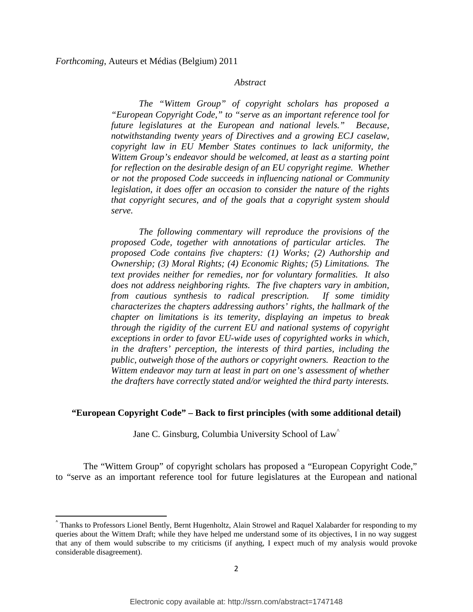#### *Abstract*

*The "Wittem Group" of copyright scholars has proposed a "European Copyright Code," to "serve as an important reference tool for future legislatures at the European and national levels." Because, notwithstanding twenty years of Directives and a growing ECJ caselaw, copyright law in EU Member States continues to lack uniformity, the Wittem Group's endeavor should be welcomed, at least as a starting point for reflection on the desirable design of an EU copyright regime. Whether or not the proposed Code succeeds in influencing national or Community legislation, it does offer an occasion to consider the nature of the rights that copyright secures, and of the goals that a copyright system should serve.* 

*The following commentary will reproduce the provisions of the proposed Code, together with annotations of particular articles. The proposed Code contains five chapters: (1) Works; (2) Authorship and Ownership; (3) Moral Rights; (4) Economic Rights; (5) Limitations. The text provides neither for remedies, nor for voluntary formalities. It also does not address neighboring rights. The five chapters vary in ambition, from cautious synthesis to radical prescription. If some timidity characterizes the chapters addressing authors' rights, the hallmark of the chapter on limitations is its temerity, displaying an impetus to break through the rigidity of the current EU and national systems of copyright exceptions in order to favor EU-wide uses of copyrighted works in which, in the drafters' perception, the interests of third parties, including the public, outweigh those of the authors or copyright owners. Reaction to the Wittem endeavor may turn at least in part on one's assessment of whether the drafters have correctly stated and/or weighted the third party interests.* 

#### **"European Copyright Code" – Back to first principles (with some additional detail)**

Jane C. Ginsburg, Columbia University School of Law^

The "Wittem Group" of copyright scholars has proposed a "European Copyright Code," to "serve as an important reference tool for future legislatures at the European and national

<sup>^</sup> Thanks to Professors Lionel Bently, Bernt Hugenholtz, Alain Strowel and Raquel Xalabarder for responding to my queries about the Wittem Draft; while they have helped me understand some of its objectives, I in no way suggest that any of them would subscribe to my criticisms (if anything, I expect much of my analysis would provoke considerable disagreement).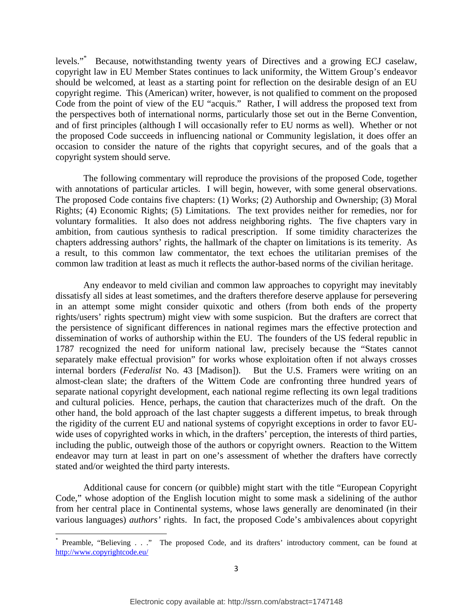levels."\* Because, notwithstanding twenty years of Directives and a growing ECJ caselaw, copyright law in EU Member States continues to lack uniformity, the Wittem Group's endeavor should be welcomed, at least as a starting point for reflection on the desirable design of an EU copyright regime. This (American) writer, however, is not qualified to comment on the proposed Code from the point of view of the EU "acquis." Rather, I will address the proposed text from the perspectives both of international norms, particularly those set out in the Berne Convention, and of first principles (although I will occasionally refer to EU norms as well). Whether or not the proposed Code succeeds in influencing national or Community legislation, it does offer an occasion to consider the nature of the rights that copyright secures, and of the goals that a copyright system should serve.

The following commentary will reproduce the provisions of the proposed Code, together with annotations of particular articles. I will begin, however, with some general observations. The proposed Code contains five chapters: (1) Works; (2) Authorship and Ownership; (3) Moral Rights; (4) Economic Rights; (5) Limitations. The text provides neither for remedies, nor for voluntary formalities. It also does not address neighboring rights. The five chapters vary in ambition, from cautious synthesis to radical prescription. If some timidity characterizes the chapters addressing authors' rights, the hallmark of the chapter on limitations is its temerity. As a result, to this common law commentator, the text echoes the utilitarian premises of the common law tradition at least as much it reflects the author-based norms of the civilian heritage.

Any endeavor to meld civilian and common law approaches to copyright may inevitably dissatisfy all sides at least sometimes, and the drafters therefore deserve applause for persevering in an attempt some might consider quixotic and others (from both ends of the property rights/users' rights spectrum) might view with some suspicion. But the drafters are correct that the persistence of significant differences in national regimes mars the effective protection and dissemination of works of authorship within the EU. The founders of the US federal republic in 1787 recognized the need for uniform national law, precisely because the "States cannot separately make effectual provision" for works whose exploitation often if not always crosses internal borders (*Federalist* No. 43 [Madison]). But the U.S. Framers were writing on an almost-clean slate; the drafters of the Wittem Code are confronting three hundred years of separate national copyright development, each national regime reflecting its own legal traditions and cultural policies. Hence, perhaps, the caution that characterizes much of the draft. On the other hand, the bold approach of the last chapter suggests a different impetus, to break through the rigidity of the current EU and national systems of copyright exceptions in order to favor EUwide uses of copyrighted works in which, in the drafters' perception, the interests of third parties, including the public, outweigh those of the authors or copyright owners. Reaction to the Wittem endeavor may turn at least in part on one's assessment of whether the drafters have correctly stated and/or weighted the third party interests.

Additional cause for concern (or quibble) might start with the title "European Copyright Code," whose adoption of the English locution might to some mask a sidelining of the author from her central place in Continental systems, whose laws generally are denominated (in their various languages) *authors'* rights. In fact, the proposed Code's ambivalences about copyright

<sup>\*</sup> Preamble, "Believing . . ." The proposed Code, and its drafters' introductory comment, can be found at http://www.copyrightcode.eu/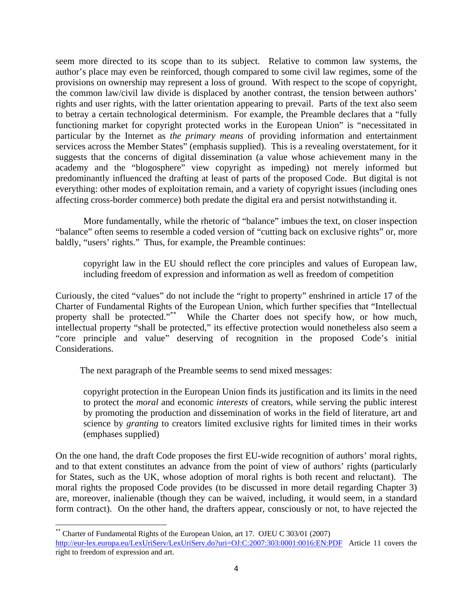seem more directed to its scope than to its subject. Relative to common law systems, the author's place may even be reinforced, though compared to some civil law regimes, some of the provisions on ownership may represent a loss of ground. With respect to the scope of copyright, the common law/civil law divide is displaced by another contrast, the tension between authors' rights and user rights, with the latter orientation appearing to prevail. Parts of the text also seem to betray a certain technological determinism. For example, the Preamble declares that a "fully functioning market for copyright protected works in the European Union" is "necessitated in particular by the Internet as *the primary means* of providing information and entertainment services across the Member States" (emphasis supplied). This is a revealing overstatement, for it suggests that the concerns of digital dissemination (a value whose achievement many in the academy and the "blogosphere" view copyright as impeding) not merely informed but predominantly influenced the drafting at least of parts of the proposed Code. But digital is not everything: other modes of exploitation remain, and a variety of copyright issues (including ones affecting cross-border commerce) both predate the digital era and persist notwithstanding it.

More fundamentally, while the rhetoric of "balance" imbues the text, on closer inspection "balance" often seems to resemble a coded version of "cutting back on exclusive rights" or, more baldly, "users' rights." Thus, for example, the Preamble continues:

copyright law in the EU should reflect the core principles and values of European law, including freedom of expression and information as well as freedom of competition

Curiously, the cited "values" do not include the "right to property" enshrined in article 17 of the Charter of Fundamental Rights of the European Union, which further specifies that "Intellectual property shall be protected."<sup>\*\*</sup> While the Charter does not specify how, or how much, intellectual property "shall be protected," its effective protection would nonetheless also seem a "core principle and value" deserving of recognition in the proposed Code's initial Considerations.

The next paragraph of the Preamble seems to send mixed messages:

copyright protection in the European Union finds its justification and its limits in the need to protect the *moral* and economic *interests* of creators, while serving the public interest by promoting the production and dissemination of works in the field of literature, art and science by *granting* to creators limited exclusive rights for limited times in their works (emphases supplied)

On the one hand, the draft Code proposes the first EU-wide recognition of authors' moral rights, and to that extent constitutes an advance from the point of view of authors' rights (particularly for States, such as the UK, whose adoption of moral rights is both recent and reluctant). The moral rights the proposed Code provides (to be discussed in more detail regarding Chapter 3) are, moreover, inalienable (though they can be waived, including, it would seem, in a standard form contract). On the other hand, the drafters appear, consciously or not, to have rejected the

Charter of Fundamental Rights of the European Union, art 17. OJEU C 303/01 (2007) http://eur-lex.europa.eu/LexUriServ/LexUriServ.do?uri=OJ:C:2007:303:0001:0016:EN:PDF Article 11 covers the right to freedom of expression and art.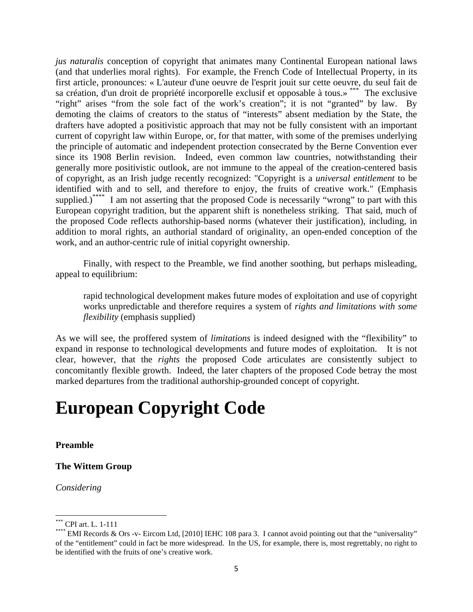*jus naturalis* conception of copyright that animates many Continental European national laws (and that underlies moral rights). For example, the French Code of Intellectual Property, in its first article, pronounces: « L'auteur d'une oeuvre de l'esprit jouit sur cette oeuvre, du seul fait de sa création, d'un droit de propriété incorporelle exclusif et opposable à tous.» \*\*\* The exclusive "right" arises "from the sole fact of the work's creation"; it is not "granted" by law. By demoting the claims of creators to the status of "interests" absent mediation by the State, the drafters have adopted a positivistic approach that may not be fully consistent with an important current of copyright law within Europe, or, for that matter, with some of the premises underlying the principle of automatic and independent protection consecrated by the Berne Convention ever since its 1908 Berlin revision. Indeed, even common law countries, notwithstanding their generally more positivistic outlook, are not immune to the appeal of the creation-centered basis of copyright, as an Irish judge recently recognized: "Copyright is a *universal entitlement* to be identified with and to sell, and therefore to enjoy, the fruits of creative work." (Emphasis supplied.)<sup>\*\*\*\*</sup> I am not asserting that the proposed Code is necessarily "wrong" to part with this European copyright tradition, but the apparent shift is nonetheless striking. That said, much of the proposed Code reflects authorship-based norms (whatever their justification), including, in addition to moral rights, an authorial standard of originality, an open-ended conception of the work, and an author-centric rule of initial copyright ownership.

Finally, with respect to the Preamble, we find another soothing, but perhaps misleading, appeal to equilibrium:

rapid technological development makes future modes of exploitation and use of copyright works unpredictable and therefore requires a system of *rights and limitations with some flexibility* (emphasis supplied)

As we will see, the proffered system of *limitations* is indeed designed with the "flexibility" to expand in response to technological developments and future modes of exploitation. It is not clear, however, that the *rights* the proposed Code articulates are consistently subject to concomitantly flexible growth. Indeed, the later chapters of the proposed Code betray the most marked departures from the traditional authorship-grounded concept of copyright.

## **European Copyright Code**

**Preamble** 

#### **The Wittem Group**

*Considering* 

<sup>\*\*\*</sup> CPI art. L. 1-111

EMI Records & Ors -v- Eircom Ltd,  $[2010]$  IEHC 108 para 3. I cannot avoid pointing out that the "universality" of the "entitlement" could in fact be more widespread. In the US, for example, there is, most regrettably, no right to be identified with the fruits of one's creative work.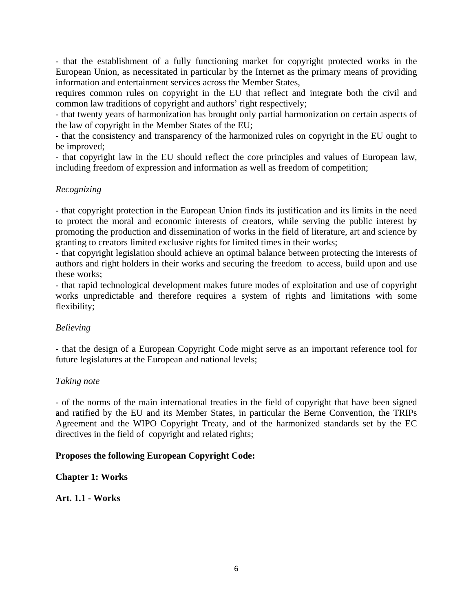- that the establishment of a fully functioning market for copyright protected works in the European Union, as necessitated in particular by the Internet as the primary means of providing information and entertainment services across the Member States,

requires common rules on copyright in the EU that reflect and integrate both the civil and common law traditions of copyright and authors' right respectively;

- that twenty years of harmonization has brought only partial harmonization on certain aspects of the law of copyright in the Member States of the EU;

- that the consistency and transparency of the harmonized rules on copyright in the EU ought to be improved;

- that copyright law in the EU should reflect the core principles and values of European law, including freedom of expression and information as well as freedom of competition;

#### *Recognizing*

- that copyright protection in the European Union finds its justification and its limits in the need to protect the moral and economic interests of creators, while serving the public interest by promoting the production and dissemination of works in the field of literature, art and science by granting to creators limited exclusive rights for limited times in their works;

- that copyright legislation should achieve an optimal balance between protecting the interests of authors and right holders in their works and securing the freedom to access, build upon and use these works;

- that rapid technological development makes future modes of exploitation and use of copyright works unpredictable and therefore requires a system of rights and limitations with some flexibility;

#### *Believing*

- that the design of a European Copyright Code might serve as an important reference tool for future legislatures at the European and national levels;

#### *Taking note*

- of the norms of the main international treaties in the field of copyright that have been signed and ratified by the EU and its Member States, in particular the Berne Convention, the TRIPs Agreement and the WIPO Copyright Treaty, and of the harmonized standards set by the EC directives in the field of copyright and related rights;

#### **Proposes the following European Copyright Code:**

**Chapter 1: Works** 

**Art. 1.1 - Works**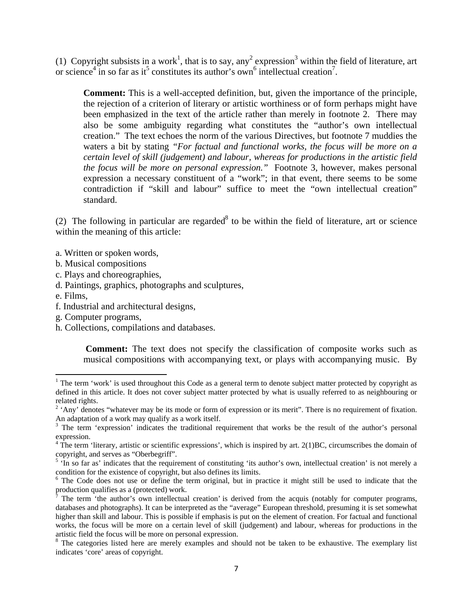(1) Copyright subsists in a work<sup>1</sup>, that is to say, any<sup>2</sup> expression<sup>3</sup> within the field of literature, art or science<sup>4</sup> in so far as it<sup>5</sup> constitutes its author's own<sup>6</sup> intellectual creation<sup>7</sup>.

**Comment:** This is a well-accepted definition, but, given the importance of the principle, the rejection of a criterion of literary or artistic worthiness or of form perhaps might have been emphasized in the text of the article rather than merely in footnote 2. There may also be some ambiguity regarding what constitutes the "author's own intellectual creation." The text echoes the norm of the various Directives, but footnote 7 muddies the waters a bit by stating *"For factual and functional works, the focus will be more on a certain level of skill (judgement) and labour, whereas for productions in the artistic field the focus will be more on personal expression."* Footnote 3, however, makes personal expression a necessary constituent of a "work"; in that event, there seems to be some contradiction if "skill and labour" suffice to meet the "own intellectual creation" standard.

(2) The following in particular are regarded<sup>8</sup> to be within the field of literature, art or science within the meaning of this article:

- a. Written or spoken words,
- b. Musical compositions
- c. Plays and choreographies,

- d. Paintings, graphics, photographs and sculptures,
- e. Films,
- f. Industrial and architectural designs,
- g. Computer programs,
- h. Collections, compilations and databases.

**Comment:** The text does not specify the classification of composite works such as musical compositions with accompanying text, or plays with accompanying music. By

<sup>&</sup>lt;sup>1</sup> The term 'work' is used throughout this Code as a general term to denote subject matter protected by copyright as defined in this article. It does not cover subject matter protected by what is usually referred to as neighbouring or related rights.

 $2$  'Any' denotes "whatever may be its mode or form of expression or its merit". There is no requirement of fixation.

An adaptation of a work may qualify as a work itself.<br><sup>3</sup> The term 'expression' indicates the traditional requirement that works be the result of the author's personal expression.<br><sup>4</sup> The term 'literary, artistic or scientific expressions', which is inspired by art. 2(1)BC, circumscribes the domain of

copyright, and serves as "Oberbegriff".

<sup>&</sup>lt;sup>5</sup> 'In so far as' indicates that the requirement of constituting 'its author's own, intellectual creation' is not merely a condition for the existence of copyright, but also defines its limits.

<sup>&</sup>lt;sup>6</sup> The Code does not use or define the term original, but in practice it might still be used to indicate that the production qualifies as a (protected) work.

The term 'the author's own intellectual creation' is derived from the acquis (notably for computer programs, databases and photographs). It can be interpreted as the "average" European threshold, presuming it is set somewhat higher than skill and labour. This is possible if emphasis is put on the element of creation. For factual and functional works, the focus will be more on a certain level of skill (judgement) and labour, whereas for productions in the artistic field the focus will be more on personal expression.

<sup>&</sup>lt;sup>8</sup> The categories listed here are merely examples and should not be taken to be exhaustive. The exemplary list indicates 'core' areas of copyright.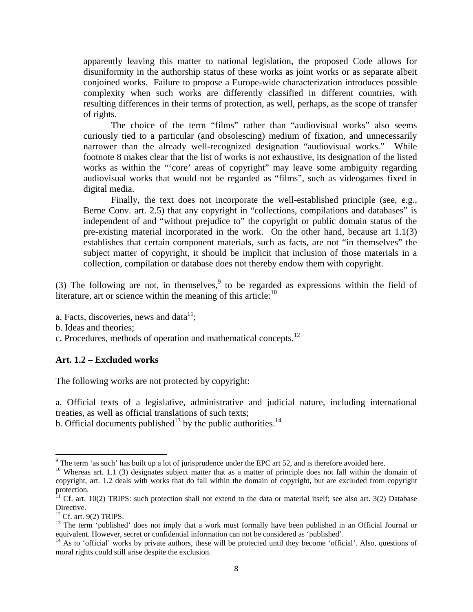apparently leaving this matter to national legislation, the proposed Code allows for disuniformity in the authorship status of these works as joint works or as separate albeit conjoined works. Failure to propose a Europe-wide characterization introduces possible complexity when such works are differently classified in different countries, with resulting differences in their terms of protection, as well, perhaps, as the scope of transfer of rights.

The choice of the term "films" rather than "audiovisual works" also seems curiously tied to a particular (and obsolescing) medium of fixation, and unnecessarily narrower than the already well-recognized designation "audiovisual works." While footnote 8 makes clear that the list of works is not exhaustive, its designation of the listed works as within the "'core' areas of copyright" may leave some ambiguity regarding audiovisual works that would not be regarded as "films", such as videogames fixed in digital media.

 Finally, the text does not incorporate the well-established principle (see, e.g., Berne Conv. art. 2.5) that any copyright in "collections, compilations and databases" is independent of and "without prejudice to" the copyright or public domain status of the pre-existing material incorporated in the work. On the other hand, because art 1.1(3) establishes that certain component materials, such as facts, are not "in themselves" the subject matter of copyright, it should be implicit that inclusion of those materials in a collection, compilation or database does not thereby endow them with copyright.

(3) The following are not, in themselves,  $9$  to be regarded as expressions within the field of literature, art or science within the meaning of this article: $10$ 

- a. Facts, discoveries, news and data $^{11}$ ;
- b. Ideas and theories;
- c. Procedures, methods of operation and mathematical concepts.<sup>12</sup>

#### **Art. 1.2 – Excluded works**

The following works are not protected by copyright:

a. Official texts of a legislative, administrative and judicial nature, including international treaties, as well as official translations of such texts;

b. Official documents published<sup>13</sup> by the public authorities.<sup>14</sup>

<sup>&</sup>lt;sup>9</sup> The term 'as such' has built up a lot of jurisprudence under the EPC art 52, and is therefore avoided here.

 $10$  Whereas art. 1.1 (3) designates subject matter that as a matter of principle does not fall within the domain of copyright, art. 1.2 deals with works that do fall within the domain of copyright, but are excluded from copyright protection.

 $11$  Cf. art. 10(2) TRIPS: such protection shall not extend to the data or material itself; see also art. 3(2) Database Directive.

 $12$  Cf. art. 9(2) TRIPS.

<sup>&</sup>lt;sup>13</sup> The term 'published' does not imply that a work must formally have been published in an Official Journal or equivalent. However, secret or confidential information can not be considered as 'published'.<br><sup>14</sup> As to 'official' works by private authors, these will be protected until they become 'official'. Also, questions of

moral rights could still arise despite the exclusion.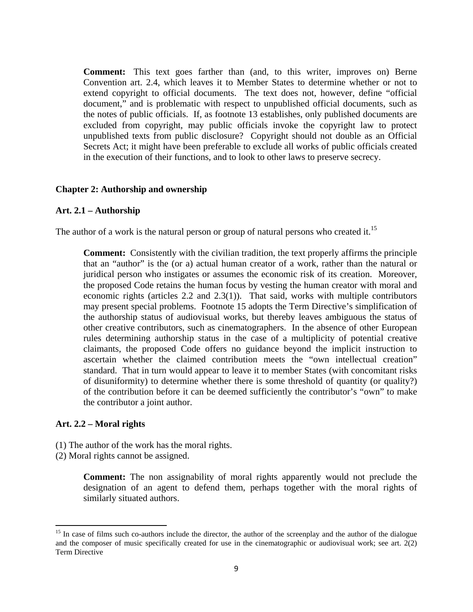**Comment:** This text goes farther than (and, to this writer, improves on) Berne Convention art. 2.4, which leaves it to Member States to determine whether or not to extend copyright to official documents. The text does not, however, define "official document," and is problematic with respect to unpublished official documents, such as the notes of public officials. If, as footnote 13 establishes, only published documents are excluded from copyright, may public officials invoke the copyright law to protect unpublished texts from public disclosure? Copyright should not double as an Official Secrets Act; it might have been preferable to exclude all works of public officials created in the execution of their functions, and to look to other laws to preserve secrecy.

#### **Chapter 2: Authorship and ownership**

#### **Art. 2.1 – Authorship**

The author of a work is the natural person or group of natural persons who created it.<sup>15</sup>

**Comment:** Consistently with the civilian tradition, the text properly affirms the principle that an "author" is the (or a) actual human creator of a work, rather than the natural or juridical person who instigates or assumes the economic risk of its creation. Moreover, the proposed Code retains the human focus by vesting the human creator with moral and economic rights (articles 2.2 and 2.3(1)). That said, works with multiple contributors may present special problems. Footnote 15 adopts the Term Directive's simplification of the authorship status of audiovisual works, but thereby leaves ambiguous the status of other creative contributors, such as cinematographers. In the absence of other European rules determining authorship status in the case of a multiplicity of potential creative claimants, the proposed Code offers no guidance beyond the implicit instruction to ascertain whether the claimed contribution meets the "own intellectual creation" standard. That in turn would appear to leave it to member States (with concomitant risks of disuniformity) to determine whether there is some threshold of quantity (or quality?) of the contribution before it can be deemed sufficiently the contributor's "own" to make the contributor a joint author.

#### **Art. 2.2 – Moral rights**

- (1) The author of the work has the moral rights.
- (2) Moral rights cannot be assigned.

**Comment:** The non assignability of moral rights apparently would not preclude the designation of an agent to defend them, perhaps together with the moral rights of similarly situated authors.

<sup>&</sup>lt;sup>15</sup> In case of films such co-authors include the director, the author of the screenplay and the author of the dialogue and the composer of music specifically created for use in the cinematographic or audiovisual work; see art. 2(2) Term Directive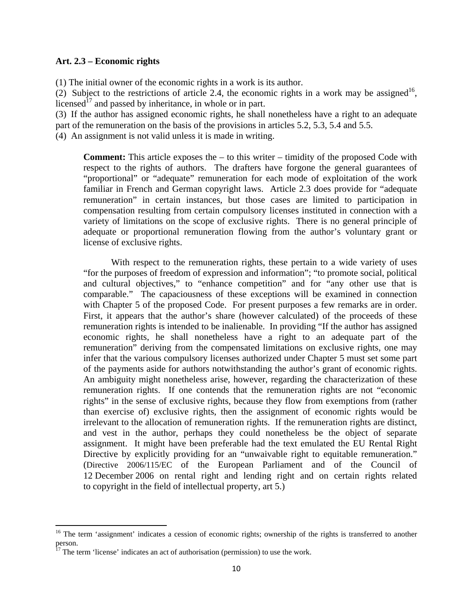#### **Art. 2.3 – Economic rights**

(1) The initial owner of the economic rights in a work is its author.

(2) Subject to the restrictions of article 2.4, the economic rights in a work may be assigned<sup>16</sup>, licensed<sup>17</sup> and passed by inheritance, in whole or in part.

(3) If the author has assigned economic rights, he shall nonetheless have a right to an adequate part of the remuneration on the basis of the provisions in articles 5.2, 5.3, 5.4 and 5.5.

(4) An assignment is not valid unless it is made in writing.

**Comment:** This article exposes the – to this writer – timidity of the proposed Code with respect to the rights of authors. The drafters have forgone the general guarantees of "proportional" or "adequate" remuneration for each mode of exploitation of the work familiar in French and German copyright laws. Article 2.3 does provide for "adequate remuneration" in certain instances, but those cases are limited to participation in compensation resulting from certain compulsory licenses instituted in connection with a variety of limitations on the scope of exclusive rights. There is no general principle of adequate or proportional remuneration flowing from the author's voluntary grant or license of exclusive rights.

With respect to the remuneration rights, these pertain to a wide variety of uses "for the purposes of freedom of expression and information"; "to promote social, political and cultural objectives," to "enhance competition" and for "any other use that is comparable." The capaciousness of these exceptions will be examined in connection with Chapter 5 of the proposed Code. For present purposes a few remarks are in order. First, it appears that the author's share (however calculated) of the proceeds of these remuneration rights is intended to be inalienable. In providing "If the author has assigned economic rights, he shall nonetheless have a right to an adequate part of the remuneration" deriving from the compensated limitations on exclusive rights, one may infer that the various compulsory licenses authorized under Chapter 5 must set some part of the payments aside for authors notwithstanding the author's grant of economic rights. An ambiguity might nonetheless arise, however, regarding the characterization of these remuneration rights. If one contends that the remuneration rights are not "economic rights" in the sense of exclusive rights, because they flow from exemptions from (rather than exercise of) exclusive rights, then the assignment of economic rights would be irrelevant to the allocation of remuneration rights. If the remuneration rights are distinct, and vest in the author, perhaps they could nonetheless be the object of separate assignment. It might have been preferable had the text emulated the EU Rental Right Directive by explicitly providing for an "unwaivable right to equitable remuneration." (Directive 2006/115/EC of the European Parliament and of the Council of 12 December 2006 on rental right and lending right and on certain rights related to copyright in the field of intellectual property, art 5.)

<sup>&</sup>lt;sup>16</sup> The term 'assignment' indicates a cession of economic rights; ownership of the rights is transferred to another person.

 $17$  The term 'license' indicates an act of authorisation (permission) to use the work.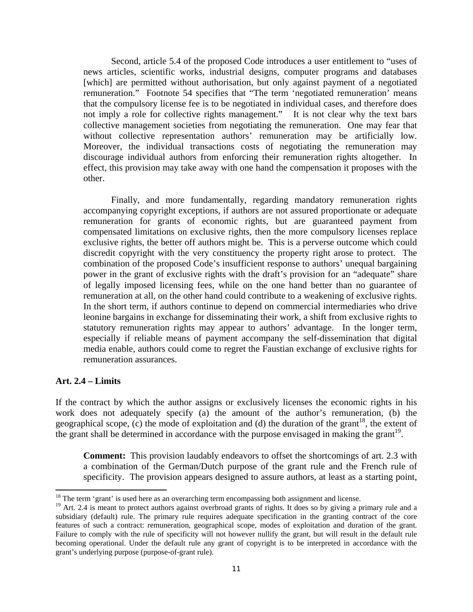Second, article 5.4 of the proposed Code introduces a user entitlement to "uses of news articles, scientific works, industrial designs, computer programs and databases [which] are permitted without authorisation, but only against payment of a negotiated remuneration." Footnote 54 specifies that "The term 'negotiated remuneration' means that the compulsory license fee is to be negotiated in individual cases, and therefore does not imply a role for collective rights management." It is not clear why the text bars collective management societies from negotiating the remuneration. One may fear that without collective representation authors' remuneration may be artificially low. Moreover, the individual transactions costs of negotiating the remuneration may discourage individual authors from enforcing their remuneration rights altogether. In effect, this provision may take away with one hand the compensation it proposes with the other.

 Finally, and more fundamentally, regarding mandatory remuneration rights accompanying copyright exceptions, if authors are not assured proportionate or adequate remuneration for grants of economic rights, but are guaranteed payment from compensated limitations on exclusive rights, then the more compulsory licenses replace exclusive rights, the better off authors might be. This is a perverse outcome which could discredit copyright with the very constituency the property right arose to protect. The combination of the proposed Code's insufficient response to authors' unequal bargaining power in the grant of exclusive rights with the draft's provision for an "adequate" share of legally imposed licensing fees, while on the one hand better than no guarantee of remuneration at all, on the other hand could contribute to a weakening of exclusive rights. In the short term, if authors continue to depend on commercial intermediaries who drive leonine bargains in exchange for disseminating their work, a shift from exclusive rights to statutory remuneration rights may appear to authors' advantage. In the longer term, especially if reliable means of payment accompany the self-dissemination that digital media enable, authors could come to regret the Faustian exchange of exclusive rights for remuneration assurances.

#### **Art. 2.4 – Limits**

If the contract by which the author assigns or exclusively licenses the economic rights in his work does not adequately specify (a) the amount of the author's remuneration, (b) the geographical scope, (c) the mode of exploitation and (d) the duration of the grant<sup>18</sup>, the extent of the grant shall be determined in accordance with the purpose envisaged in making the grant<sup>19</sup>.

**Comment:** This provision laudably endeavors to offset the shortcomings of art. 2.3 with a combination of the German/Dutch purpose of the grant rule and the French rule of specificity. The provision appears designed to assure authors, at least as a starting point,

 $18$  The term 'grant' is used here as an overarching term encompassing both assignment and license.

<sup>&</sup>lt;sup>19</sup> Art. 2.4 is meant to protect authors against overbroad grants of rights. It does so by giving a primary rule and a subsidiary (default) rule. The primary rule requires adequate specification in the granting contract of the core features of such a contract: remuneration, geographical scope, modes of exploitation and duration of the grant. Failure to comply with the rule of specificity will not however nullify the grant, but will result in the default rule becoming operational. Under the default rule any grant of copyright is to be interpreted in accordance with the grant's underlying purpose (purpose-of-grant rule).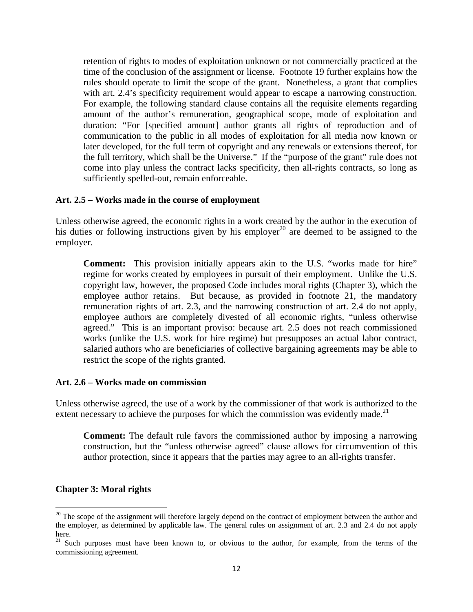retention of rights to modes of exploitation unknown or not commercially practiced at the time of the conclusion of the assignment or license. Footnote 19 further explains how the rules should operate to limit the scope of the grant. Nonetheless, a grant that complies with art. 2.4's specificity requirement would appear to escape a narrowing construction. For example, the following standard clause contains all the requisite elements regarding amount of the author's remuneration, geographical scope, mode of exploitation and duration: "For [specified amount] author grants all rights of reproduction and of communication to the public in all modes of exploitation for all media now known or later developed, for the full term of copyright and any renewals or extensions thereof, for the full territory, which shall be the Universe." If the "purpose of the grant" rule does not come into play unless the contract lacks specificity, then all-rights contracts, so long as sufficiently spelled-out, remain enforceable.

#### **Art. 2.5 – Works made in the course of employment**

Unless otherwise agreed, the economic rights in a work created by the author in the execution of his duties or following instructions given by his employer<sup>20</sup> are deemed to be assigned to the employer.

**Comment:** This provision initially appears akin to the U.S. "works made for hire" regime for works created by employees in pursuit of their employment. Unlike the U.S. copyright law, however, the proposed Code includes moral rights (Chapter 3), which the employee author retains. But because, as provided in footnote 21, the mandatory remuneration rights of art. 2.3, and the narrowing construction of art. 2.4 do not apply, employee authors are completely divested of all economic rights, "unless otherwise agreed." This is an important proviso: because art. 2.5 does not reach commissioned works (unlike the U.S. work for hire regime) but presupposes an actual labor contract, salaried authors who are beneficiaries of collective bargaining agreements may be able to restrict the scope of the rights granted.

#### **Art. 2.6 – Works made on commission**

Unless otherwise agreed, the use of a work by the commissioner of that work is authorized to the extent necessary to achieve the purposes for which the commission was evidently made.<sup>21</sup>

**Comment:** The default rule favors the commissioned author by imposing a narrowing construction, but the "unless otherwise agreed" clause allows for circumvention of this author protection, since it appears that the parties may agree to an all-rights transfer.

#### **Chapter 3: Moral rights**

<sup>&</sup>lt;sup>20</sup> The scope of the assignment will therefore largely depend on the contract of employment between the author and the employer, as determined by applicable law. The general rules on assignment of art. 2.3 and 2.4 do not apply here.

<sup>&</sup>lt;sup>21</sup> Such purposes must have been known to, or obvious to the author, for example, from the terms of the commissioning agreement.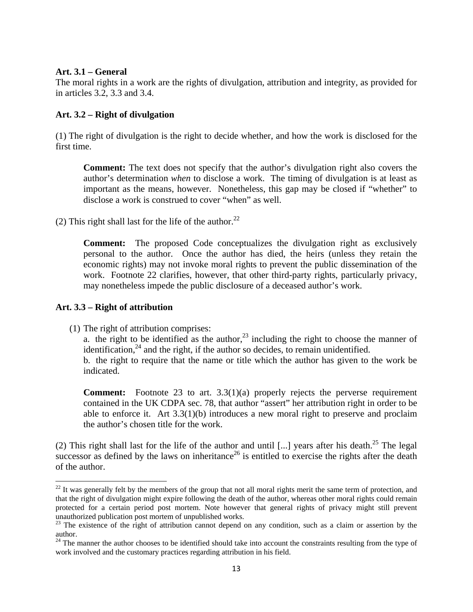#### **Art. 3.1 – General**

The moral rights in a work are the rights of divulgation, attribution and integrity, as provided for in articles 3.2, 3.3 and 3.4.

#### **Art. 3.2 – Right of divulgation**

(1) The right of divulgation is the right to decide whether, and how the work is disclosed for the first time.

**Comment:** The text does not specify that the author's divulgation right also covers the author's determination *when* to disclose a work. The timing of divulgation is at least as important as the means, however. Nonetheless, this gap may be closed if "whether" to disclose a work is construed to cover "when" as well.

(2) This right shall last for the life of the author.<sup>22</sup>

**Comment:** The proposed Code conceptualizes the divulgation right as exclusively personal to the author. Once the author has died, the heirs (unless they retain the economic rights) may not invoke moral rights to prevent the public dissemination of the work. Footnote 22 clarifies, however, that other third-party rights, particularly privacy, may nonetheless impede the public disclosure of a deceased author's work.

#### **Art. 3.3 – Right of attribution**

(1) The right of attribution comprises:

a. the right to be identified as the author,  $2<sup>3</sup>$  including the right to choose the manner of identification, $^{24}$  and the right, if the author so decides, to remain unidentified.

b. the right to require that the name or title which the author has given to the work be indicated.

**Comment:** Footnote 23 to art. 3.3(1)(a) properly rejects the perverse requirement contained in the UK CDPA sec. 78, that author "assert" her attribution right in order to be able to enforce it. Art  $3.3(1)(b)$  introduces a new moral right to preserve and proclaim the author's chosen title for the work.

(2) This right shall last for the life of the author and until [...] years after his death.<sup>25</sup> The legal successor as defined by the laws on inheritance<sup>26</sup> is entitled to exercise the rights after the death of the author.

 $22$  It was generally felt by the members of the group that not all moral rights merit the same term of protection, and that the right of divulgation might expire following the death of the author, whereas other moral rights could remain protected for a certain period post mortem. Note however that general rights of privacy might still prevent unauthorized publication post mortem of unpublished works.

 $23$  The existence of the right of attribution cannot depend on any condition, such as a claim or assertion by the author.

 $24$  The manner the author chooses to be identified should take into account the constraints resulting from the type of work involved and the customary practices regarding attribution in his field.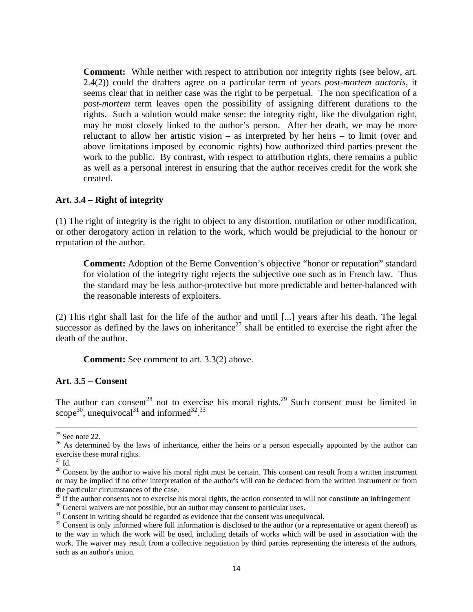**Comment:** While neither with respect to attribution nor integrity rights (see below, art. 2.4(2)) could the drafters agree on a particular term of years *post-mortem auctoris*, it seems clear that in neither case was the right to be perpetual. The non specification of a *post-mortem* term leaves open the possibility of assigning different durations to the rights. Such a solution would make sense: the integrity right, like the divulgation right, may be most closely linked to the author's person. After her death, we may be more reluctant to allow her artistic vision – as interpreted by her heirs – to limit (over and above limitations imposed by economic rights) how authorized third parties present the work to the public. By contrast, with respect to attribution rights, there remains a public as well as a personal interest in ensuring that the author receives credit for the work she created.

#### **Art. 3.4 – Right of integrity**

(1) The right of integrity is the right to object to any distortion, mutilation or other modification, or other derogatory action in relation to the work, which would be prejudicial to the honour or reputation of the author.

**Comment:** Adoption of the Berne Convention's objective "honor or reputation" standard for violation of the integrity right rejects the subjective one such as in French law. Thus the standard may be less author-protective but more predictable and better-balanced with the reasonable interests of exploiters.

(2) This right shall last for the life of the author and until [...] years after his death. The legal successor as defined by the laws on inheritance<sup>27</sup> shall be entitled to exercise the right after the death of the author.

**Comment:** See comment to art. 3.3(2) above.

#### **Art. 3.5 – Consent**

The author can consent<sup>28</sup> not to exercise his moral rights.<sup>29</sup> Such consent must be limited in scope<sup>30</sup>, unequivocal<sup>31</sup> and informed<sup>32, 33</sup>

 $25$  See note 22.

 $26$  As determined by the laws of inheritance, either the heirs or a person especially appointed by the author can exercise these moral rights.

 $^\mathrm{27}$  Id.

 $28$  Consent by the author to waive his moral right must be certain. This consent can result from a written instrument or may be implied if no other interpretation of the author's will can be deduced from the written instrument or from the particular circumstances of the case.

<sup>&</sup>lt;sup>29</sup> If the author consents not to exercise his moral rights, the action consented to will not constitute an infringement  $\frac{30}{10}$  General waivers are not possible, but an author may consent to particular uses.

<sup>&</sup>lt;sup>31</sup> Consent in writing should be regarded as evidence that the consent was unequivocal.

 $32$  Consent is only informed where full information is disclosed to the author (or a representative or agent thereof) as to the way in which the work will be used, including details of works which will be used in association with the work. The waiver may result from a collective negotiation by third parties representing the interests of the authors, such as an author's union.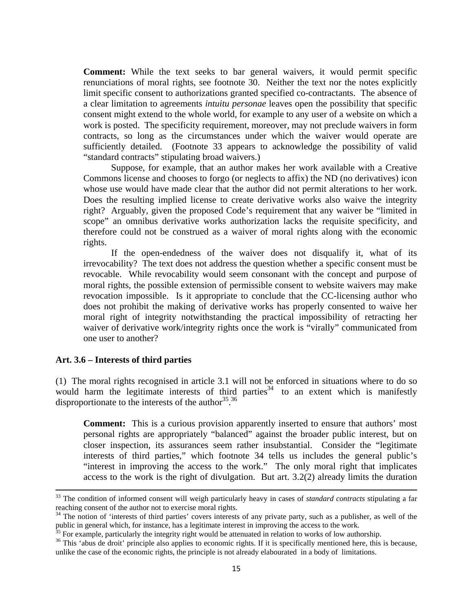**Comment:** While the text seeks to bar general waivers, it would permit specific renunciations of moral rights, see footnote 30. Neither the text nor the notes explicitly limit specific consent to authorizations granted specified co-contractants. The absence of a clear limitation to agreements *intuitu personae* leaves open the possibility that specific consent might extend to the whole world, for example to any user of a website on which a work is posted. The specificity requirement, moreover, may not preclude waivers in form contracts, so long as the circumstances under which the waiver would operate are sufficiently detailed. (Footnote 33 appears to acknowledge the possibility of valid "standard contracts" stipulating broad waivers.)

Suppose, for example, that an author makes her work available with a Creative Commons license and chooses to forgo (or neglects to affix) the ND (no derivatives) icon whose use would have made clear that the author did not permit alterations to her work. Does the resulting implied license to create derivative works also waive the integrity right? Arguably, given the proposed Code's requirement that any waiver be "limited in scope" an omnibus derivative works authorization lacks the requisite specificity, and therefore could not be construed as a waiver of moral rights along with the economic rights.

If the open-endedness of the waiver does not disqualify it, what of its irrevocability? The text does not address the question whether a specific consent must be revocable. While revocability would seem consonant with the concept and purpose of moral rights, the possible extension of permissible consent to website waivers may make revocation impossible. Is it appropriate to conclude that the CC-licensing author who does not prohibit the making of derivative works has properly consented to waive her moral right of integrity notwithstanding the practical impossibility of retracting her waiver of derivative work/integrity rights once the work is "virally" communicated from one user to another?

#### **Art. 3.6 – Interests of third parties**

(1) The moral rights recognised in article 3.1 will not be enforced in situations where to do so would harm the legitimate interests of third parties $34$  to an extent which is manifestly disproportionate to the interests of the author<sup>35, 36</sup>

**Comment:** This is a curious provision apparently inserted to ensure that authors' most personal rights are appropriately "balanced" against the broader public interest, but on closer inspection, its assurances seem rather insubstantial. Consider the "legitimate interests of third parties," which footnote 34 tells us includes the general public's "interest in improving the access to the work." The only moral right that implicates access to the work is the right of divulgation. But art. 3.2(2) already limits the duration

<sup>&</sup>lt;sup>33</sup> The condition of informed consent will weigh particularly heavy in cases of *standard contracts* stipulating a far reaching consent of the author not to exercise moral rights.

<sup>&</sup>lt;sup>34</sup> The notion of 'interests of third parties' covers interests of any private party, such as a publisher, as well of the public in general which, for instance, has a legitimate interest in improving the access to the work.<br><sup>35</sup> For example, particularly the integrity right would be attenuated in relation to works of low authorship.<br><sup>36</sup> This

unlike the case of the economic rights, the principle is not already elabourated in a body of limitations.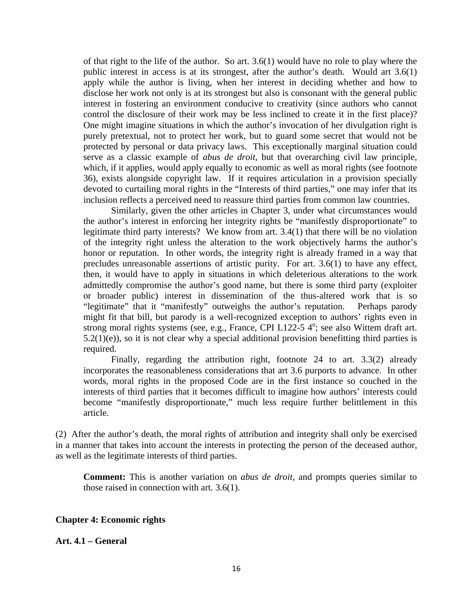of that right to the life of the author. So art. 3.6(1) would have no role to play where the public interest in access is at its strongest, after the author's death. Would art 3.6(1) apply while the author is living, when her interest in deciding whether and how to disclose her work not only is at its strongest but also is consonant with the general public interest in fostering an environment conducive to creativity (since authors who cannot control the disclosure of their work may be less inclined to create it in the first place)? One might imagine situations in which the author's invocation of her divulgation right is purely pretextual, not to protect her work, but to guard some secret that would not be protected by personal or data privacy laws. This exceptionally marginal situation could serve as a classic example of *abus de droit*, but that overarching civil law principle, which, if it applies, would apply equally to economic as well as moral rights (see footnote 36), exists alongside copyright law. If it requires articulation in a provision specially devoted to curtailing moral rights in the "Interests of third parties," one may infer that its inclusion reflects a perceived need to reassure third parties from common law countries.

 Similarly, given the other articles in Chapter 3, under what circumstances would the author's interest in enforcing her integrity rights be "manifestly disproportionate" to legitimate third party interests? We know from art. 3.4(1) that there will be no violation of the integrity right unless the alteration to the work objectively harms the author's honor or reputation. In other words, the integrity right is already framed in a way that precludes unreasonable assertions of artistic purity. For art. 3.6(1) to have any effect, then, it would have to apply in situations in which deleterious alterations to the work admittedly compromise the author's good name, but there is some third party (exploiter or broader public) interest in dissemination of the thus-altered work that is so "legitimate" that it "manifestly" outweighs the author's reputation. Perhaps parody might fit that bill, but parody is a well-recognized exception to authors' rights even in strong moral rights systems (see, e.g., France, CPI L122-5 4°; see also Wittem draft art.  $5.2(1)(e)$ , so it is not clear why a special additional provision benefitting third parties is required.

 Finally, regarding the attribution right, footnote 24 to art. 3.3(2) already incorporates the reasonableness considerations that art 3.6 purports to advance. In other words, moral rights in the proposed Code are in the first instance so couched in the interests of third parties that it becomes difficult to imagine how authors' interests could become "manifestly disproportionate," much less require further belittlement in this article.

(2) After the author's death, the moral rights of attribution and integrity shall only be exercised in a manner that takes into account the interests in protecting the person of the deceased author, as well as the legitimate interests of third parties.

**Comment:** This is another variation on *abus de droit*, and prompts queries similar to those raised in connection with art. 3.6(1).

#### **Chapter 4: Economic rights**

#### **Art. 4.1 – General**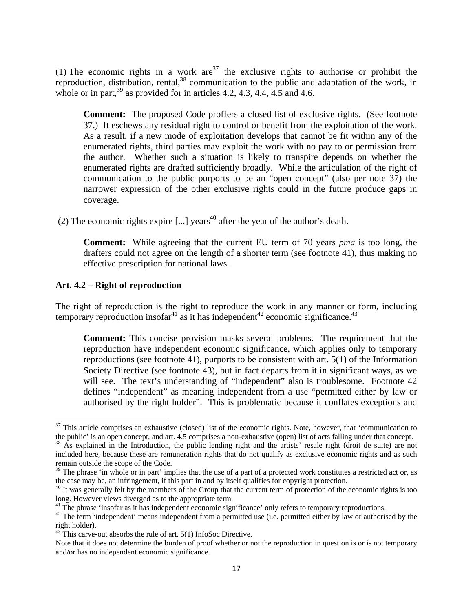(1) The economic rights in a work are<sup>37</sup> the exclusive rights to authorise or prohibit the reproduction, distribution, rental,  $38$  communication to the public and adaptation of the work, in whole or in part,  $39$  as provided for in articles 4.2, 4.3, 4.4, 4.5 and 4.6.

**Comment:** The proposed Code proffers a closed list of exclusive rights. (See footnote 37.) It eschews any residual right to control or benefit from the exploitation of the work. As a result, if a new mode of exploitation develops that cannot be fit within any of the enumerated rights, third parties may exploit the work with no pay to or permission from the author. Whether such a situation is likely to transpire depends on whether the enumerated rights are drafted sufficiently broadly. While the articulation of the right of communication to the public purports to be an "open concept" (also per note 37) the narrower expression of the other exclusive rights could in the future produce gaps in coverage.

(2) The economic rights expire [...] years<sup>40</sup> after the year of the author's death.

**Comment:** While agreeing that the current EU term of 70 years *pma* is too long, the drafters could not agree on the length of a shorter term (see footnote 41), thus making no effective prescription for national laws.

#### **Art. 4.2 – Right of reproduction**

The right of reproduction is the right to reproduce the work in any manner or form, including temporary reproduction insofar<sup>41</sup> as it has independent<sup>42</sup> economic significance.<sup>43</sup>

**Comment:** This concise provision masks several problems. The requirement that the reproduction have independent economic significance, which applies only to temporary reproductions (see footnote 41), purports to be consistent with art. 5(1) of the Information Society Directive (see footnote 43), but in fact departs from it in significant ways, as we will see. The text's understanding of "independent" also is troublesome. Footnote 42 defines "independent" as meaning independent from a use "permitted either by law or authorised by the right holder". This is problematic because it conflates exceptions and

 $37$  This article comprises an exhaustive (closed) list of the economic rights. Note, however, that 'communication to the public' is an open concept, and art. 4.5 comprises a non-exhaustive (open) list of acts falling under that concept.<br><sup>38</sup> As explained in the Introduction, the public lending right and the artists' resale right (droit d

included here, because these are remuneration rights that do not qualify as exclusive economic rights and as such remain outside the scope of the Code.

 $39$  The phrase 'in whole or in part' implies that the use of a part of a protected work constitutes a restricted act or, as the case may be, an infringement, if this part in and by itself qualifies for copyright protecti

 $40$  It was generally felt by the members of the Group that the current term of protection of the economic rights is too long. However views diverged as to the appropriate term.

<sup>&</sup>lt;sup>41</sup> The phrase 'insofar as it has independent economic significance' only refers to temporary reproductions.

 $42$  The term 'independent' means independent from a permitted use (i.e. permitted either by law or authorised by the right holder).

 $^{43}$  This carve-out absorbs the rule of art. 5(1) InfoSoc Directive.

Note that it does not determine the burden of proof whether or not the reproduction in question is or is not temporary and/or has no independent economic significance.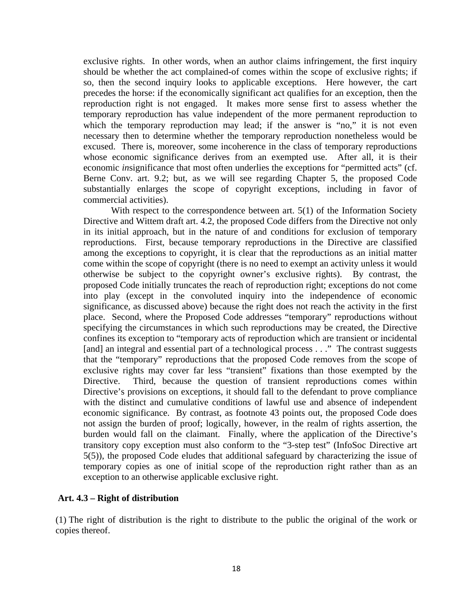exclusive rights. In other words, when an author claims infringement, the first inquiry should be whether the act complained-of comes within the scope of exclusive rights; if so, then the second inquiry looks to applicable exceptions. Here however, the cart precedes the horse: if the economically significant act qualifies for an exception, then the reproduction right is not engaged. It makes more sense first to assess whether the temporary reproduction has value independent of the more permanent reproduction to which the temporary reproduction may lead; if the answer is "no," it is not even necessary then to determine whether the temporary reproduction nonetheless would be excused. There is, moreover, some incoherence in the class of temporary reproductions whose economic significance derives from an exempted use. After all, it is their economic *in*significance that most often underlies the exceptions for "permitted acts" (cf. Berne Conv. art. 9.2; but, as we will see regarding Chapter 5, the proposed Code substantially enlarges the scope of copyright exceptions, including in favor of commercial activities).

With respect to the correspondence between art. 5(1) of the Information Society Directive and Wittem draft art. 4.2, the proposed Code differs from the Directive not only in its initial approach, but in the nature of and conditions for exclusion of temporary reproductions. First, because temporary reproductions in the Directive are classified among the exceptions to copyright, it is clear that the reproductions as an initial matter come within the scope of copyright (there is no need to exempt an activity unless it would otherwise be subject to the copyright owner's exclusive rights). By contrast, the proposed Code initially truncates the reach of reproduction right; exceptions do not come into play (except in the convoluted inquiry into the independence of economic significance, as discussed above) because the right does not reach the activity in the first place. Second, where the Proposed Code addresses "temporary" reproductions without specifying the circumstances in which such reproductions may be created, the Directive confines its exception to "temporary acts of reproduction which are transient or incidental [and] an integral and essential part of a technological process . . ." The contrast suggests that the "temporary" reproductions that the proposed Code removes from the scope of exclusive rights may cover far less "transient" fixations than those exempted by the Directive. Third, because the question of transient reproductions comes within Directive's provisions on exceptions, it should fall to the defendant to prove compliance with the distinct and cumulative conditions of lawful use and absence of independent economic significance. By contrast, as footnote 43 points out, the proposed Code does not assign the burden of proof; logically, however, in the realm of rights assertion, the burden would fall on the claimant. Finally, where the application of the Directive's transitory copy exception must also conform to the "3-step test" (InfoSoc Directive art 5(5)), the proposed Code eludes that additional safeguard by characterizing the issue of temporary copies as one of initial scope of the reproduction right rather than as an exception to an otherwise applicable exclusive right.

#### **Art. 4.3 – Right of distribution**

(1) The right of distribution is the right to distribute to the public the original of the work or copies thereof.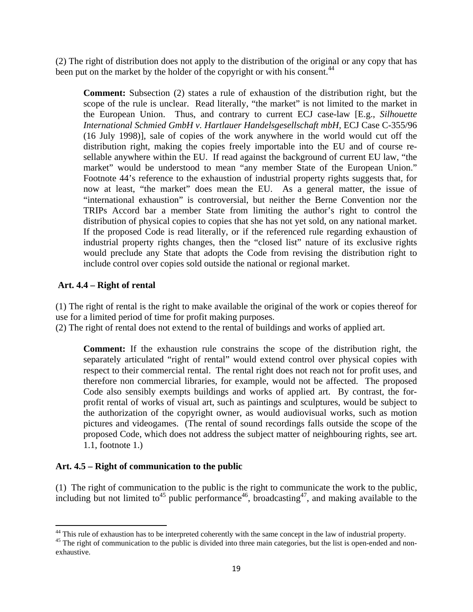(2) The right of distribution does not apply to the distribution of the original or any copy that has been put on the market by the holder of the copyright or with his consent.<sup>44</sup>

**Comment:** Subsection (2) states a rule of exhaustion of the distribution right, but the scope of the rule is unclear. Read literally, "the market" is not limited to the market in the European Union. Thus, and contrary to current ECJ case-law [E.g., *Silhouette International Schmied GmbH v. Hartlauer Handelsgesellschaft mbH*, ECJ Case C-355/96 (16 July 1998)], sale of copies of the work anywhere in the world would cut off the distribution right, making the copies freely importable into the EU and of course resellable anywhere within the EU. If read against the background of current EU law, "the market" would be understood to mean "any member State of the European Union." Footnote 44's reference to the exhaustion of industrial property rights suggests that, for now at least, "the market" does mean the EU. As a general matter, the issue of "international exhaustion" is controversial, but neither the Berne Convention nor the TRIPs Accord bar a member State from limiting the author's right to control the distribution of physical copies to copies that she has not yet sold, on any national market. If the proposed Code is read literally, or if the referenced rule regarding exhaustion of industrial property rights changes, then the "closed list" nature of its exclusive rights would preclude any State that adopts the Code from revising the distribution right to include control over copies sold outside the national or regional market.

#### **Art. 4.4 – Right of rental**

(1) The right of rental is the right to make available the original of the work or copies thereof for use for a limited period of time for profit making purposes.

(2) The right of rental does not extend to the rental of buildings and works of applied art.

**Comment:** If the exhaustion rule constrains the scope of the distribution right, the separately articulated "right of rental" would extend control over physical copies with respect to their commercial rental. The rental right does not reach not for profit uses, and therefore non commercial libraries, for example, would not be affected. The proposed Code also sensibly exempts buildings and works of applied art. By contrast, the forprofit rental of works of visual art, such as paintings and sculptures, would be subject to the authorization of the copyright owner, as would audiovisual works, such as motion pictures and videogames. (The rental of sound recordings falls outside the scope of the proposed Code, which does not address the subject matter of neighbouring rights, see art. 1.1, footnote 1.)

#### **Art. 4.5 – Right of communication to the public**

(1) The right of communication to the public is the right to communicate the work to the public, including but not limited to<sup>45</sup> public performance<sup>46</sup>, broadcasting<sup>47</sup>, and making available to the

<sup>&</sup>lt;sup>44</sup> This rule of exhaustion has to be interpreted coherently with the same concept in the law of industrial property.

<sup>&</sup>lt;sup>45</sup> The right of communication to the public is divided into three main categories, but the list is open-ended and nonexhaustive.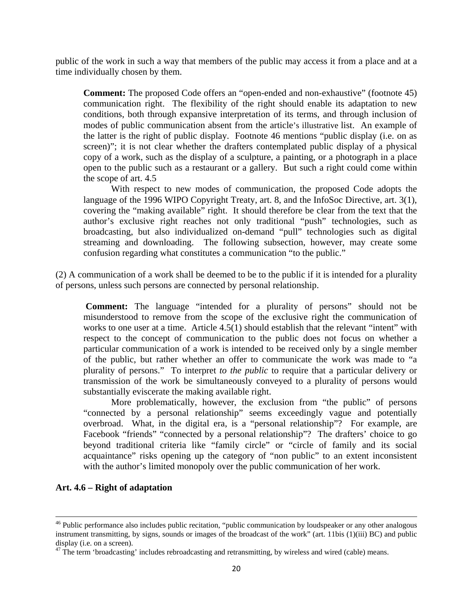public of the work in such a way that members of the public may access it from a place and at a time individually chosen by them.

**Comment:** The proposed Code offers an "open-ended and non-exhaustive" (footnote 45) communication right. The flexibility of the right should enable its adaptation to new conditions, both through expansive interpretation of its terms, and through inclusion of modes of public communication absent from the article's illustrative list. An example of the latter is the right of public display. Footnote 46 mentions "public display (i.e. on as screen)"; it is not clear whether the drafters contemplated public display of a physical copy of a work, such as the display of a sculpture, a painting, or a photograph in a place open to the public such as a restaurant or a gallery. But such a right could come within the scope of art. 4.5

With respect to new modes of communication, the proposed Code adopts the language of the 1996 WIPO Copyright Treaty, art. 8, and the InfoSoc Directive, art. 3(1), covering the "making available" right. It should therefore be clear from the text that the author's exclusive right reaches not only traditional "push" technologies, such as broadcasting, but also individualized on-demand "pull" technologies such as digital streaming and downloading. The following subsection, however, may create some confusion regarding what constitutes a communication "to the public."

(2) A communication of a work shall be deemed to be to the public if it is intended for a plurality of persons, unless such persons are connected by personal relationship.

**Comment:** The language "intended for a plurality of persons" should not be misunderstood to remove from the scope of the exclusive right the communication of works to one user at a time. Article 4.5(1) should establish that the relevant "intent" with respect to the concept of communication to the public does not focus on whether a particular communication of a work is intended to be received only by a single member of the public, but rather whether an offer to communicate the work was made to "a plurality of persons." To interpret *to the public* to require that a particular delivery or transmission of the work be simultaneously conveyed to a plurality of persons would substantially eviscerate the making available right.

More problematically, however, the exclusion from "the public" of persons "connected by a personal relationship" seems exceedingly vague and potentially overbroad. What, in the digital era, is a "personal relationship"? For example, are Facebook "friends" "connected by a personal relationship"? The drafters' choice to go beyond traditional criteria like "family circle" or "circle of family and its social acquaintance" risks opening up the category of "non public" to an extent inconsistent with the author's limited monopoly over the public communication of her work.

#### **Art. 4.6 – Right of adaptation**

<sup>&</sup>lt;sup>46</sup> Public performance also includes public recitation, "public communication by loudspeaker or any other analogous instrument transmitting, by signs, sounds or images of the broadcast of the work" (art. 11bis (1)(iii) BC) and public display (i.e. on a screen).

 $47$  The term 'broadcasting' includes rebroadcasting and retransmitting, by wireless and wired (cable) means.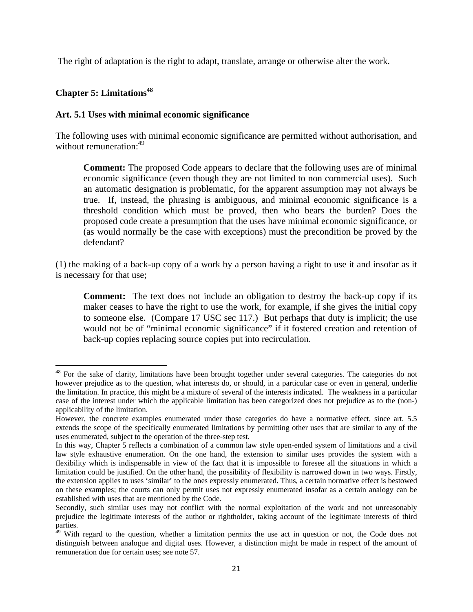The right of adaptation is the right to adapt, translate, arrange or otherwise alter the work.

#### **Chapter 5: Limitations48**

#### **Art. 5.1 Uses with minimal economic significance**

The following uses with minimal economic significance are permitted without authorisation, and without remuneration:<sup>49</sup>

**Comment:** The proposed Code appears to declare that the following uses are of minimal economic significance (even though they are not limited to non commercial uses). Such an automatic designation is problematic, for the apparent assumption may not always be true. If, instead, the phrasing is ambiguous, and minimal economic significance is a threshold condition which must be proved, then who bears the burden? Does the proposed code create a presumption that the uses have minimal economic significance, or (as would normally be the case with exceptions) must the precondition be proved by the defendant?

(1) the making of a back-up copy of a work by a person having a right to use it and insofar as it is necessary for that use;

**Comment:** The text does not include an obligation to destroy the back-up copy if its maker ceases to have the right to use the work, for example, if she gives the initial copy to someone else. (Compare 17 USC sec 117.) But perhaps that duty is implicit; the use would not be of "minimal economic significance" if it fostered creation and retention of back-up copies replacing source copies put into recirculation.

<sup>&</sup>lt;sup>48</sup> For the sake of clarity, limitations have been brought together under several categories. The categories do not however prejudice as to the question, what interests do, or should, in a particular case or even in general, underlie the limitation. In practice, this might be a mixture of several of the interests indicated. The weakness in a particular case of the interest under which the applicable limitation has been categorized does not prejudice as to the (non-) applicability of the limitation.

However, the concrete examples enumerated under those categories do have a normative effect, since art. 5.5 extends the scope of the specifically enumerated limitations by permitting other uses that are similar to any of the uses enumerated, subject to the operation of the three-step test.

In this way, Chapter 5 reflects a combination of a common law style open-ended system of limitations and a civil law style exhaustive enumeration. On the one hand, the extension to similar uses provides the system with a flexibility which is indispensable in view of the fact that it is impossible to foresee all the situations in which a limitation could be justified. On the other hand, the possibility of flexibility is narrowed down in two ways. Firstly, the extension applies to uses 'similar' to the ones expressly enumerated. Thus, a certain normative effect is bestowed on these examples; the courts can only permit uses not expressly enumerated insofar as a certain analogy can be established with uses that are mentioned by the Code.

Secondly, such similar uses may not conflict with the normal exploitation of the work and not unreasonably prejudice the legitimate interests of the author or rightholder, taking account of the legitimate interests of third parties.

<sup>&</sup>lt;sup>49</sup> With regard to the question, whether a limitation permits the use act in question or not, the Code does not distinguish between analogue and digital uses. However, a distinction might be made in respect of the amount of remuneration due for certain uses; see note 57.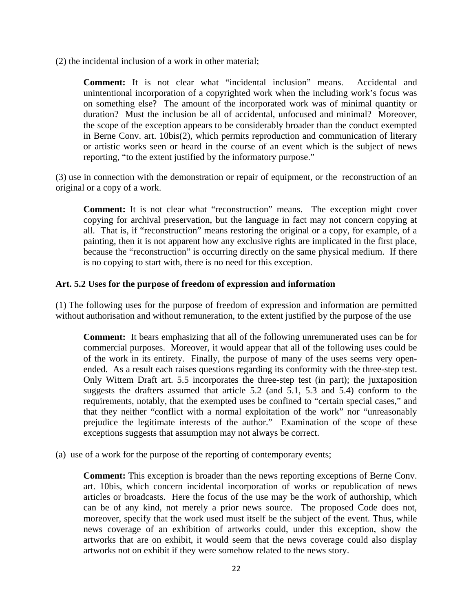(2) the incidental inclusion of a work in other material;

**Comment:** It is not clear what "incidental inclusion" means. Accidental and unintentional incorporation of a copyrighted work when the including work's focus was on something else? The amount of the incorporated work was of minimal quantity or duration? Must the inclusion be all of accidental, unfocused and minimal? Moreover, the scope of the exception appears to be considerably broader than the conduct exempted in Berne Conv. art. 10bis(2), which permits reproduction and communication of literary or artistic works seen or heard in the course of an event which is the subject of news reporting, "to the extent justified by the informatory purpose."

(3) use in connection with the demonstration or repair of equipment, or the reconstruction of an original or a copy of a work.

**Comment:** It is not clear what "reconstruction" means. The exception might cover copying for archival preservation, but the language in fact may not concern copying at all. That is, if "reconstruction" means restoring the original or a copy, for example, of a painting, then it is not apparent how any exclusive rights are implicated in the first place, because the "reconstruction" is occurring directly on the same physical medium. If there is no copying to start with, there is no need for this exception.

#### **Art. 5.2 Uses for the purpose of freedom of expression and information**

(1) The following uses for the purpose of freedom of expression and information are permitted without authorisation and without remuneration, to the extent justified by the purpose of the use

**Comment:** It bears emphasizing that all of the following unremunerated uses can be for commercial purposes. Moreover, it would appear that all of the following uses could be of the work in its entirety. Finally, the purpose of many of the uses seems very openended. As a result each raises questions regarding its conformity with the three-step test. Only Wittem Draft art. 5.5 incorporates the three-step test (in part); the juxtaposition suggests the drafters assumed that article 5.2 (and 5.1, 5.3 and 5.4) conform to the requirements, notably, that the exempted uses be confined to "certain special cases," and that they neither "conflict with a normal exploitation of the work" nor "unreasonably prejudice the legitimate interests of the author." Examination of the scope of these exceptions suggests that assumption may not always be correct.

(a) use of a work for the purpose of the reporting of contemporary events;

**Comment:** This exception is broader than the news reporting exceptions of Berne Conv. art. 10bis, which concern incidental incorporation of works or republication of news articles or broadcasts. Here the focus of the use may be the work of authorship, which can be of any kind, not merely a prior news source. The proposed Code does not, moreover, specify that the work used must itself be the subject of the event. Thus, while news coverage of an exhibition of artworks could, under this exception, show the artworks that are on exhibit, it would seem that the news coverage could also display artworks not on exhibit if they were somehow related to the news story.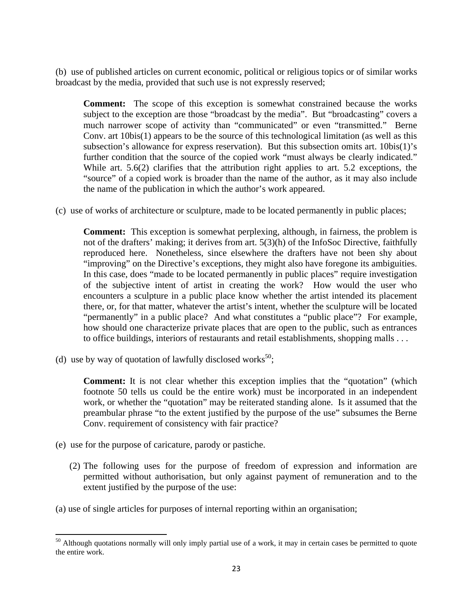(b) use of published articles on current economic, political or religious topics or of similar works broadcast by the media, provided that such use is not expressly reserved;

**Comment:** The scope of this exception is somewhat constrained because the works subject to the exception are those "broadcast by the media". But "broadcasting" covers a much narrower scope of activity than "communicated" or even "transmitted." Berne Conv. art 10bis(1) appears to be the source of this technological limitation (as well as this subsection's allowance for express reservation). But this subsection omits art. 10bis(1)'s further condition that the source of the copied work "must always be clearly indicated." While art. 5.6(2) clarifies that the attribution right applies to art. 5.2 exceptions, the "source" of a copied work is broader than the name of the author, as it may also include the name of the publication in which the author's work appeared.

(c) use of works of architecture or sculpture, made to be located permanently in public places;

**Comment:** This exception is somewhat perplexing, although, in fairness, the problem is not of the drafters' making; it derives from art. 5(3)(h) of the InfoSoc Directive, faithfully reproduced here. Nonetheless, since elsewhere the drafters have not been shy about "improving" on the Directive's exceptions, they might also have foregone its ambiguities. In this case, does "made to be located permanently in public places" require investigation of the subjective intent of artist in creating the work? How would the user who encounters a sculpture in a public place know whether the artist intended its placement there, or, for that matter, whatever the artist's intent, whether the sculpture will be located "permanently" in a public place? And what constitutes a "public place"? For example, how should one characterize private places that are open to the public, such as entrances to office buildings, interiors of restaurants and retail establishments, shopping malls . . .

(d) use by way of quotation of lawfully disclosed works<sup>50</sup>;

**Comment:** It is not clear whether this exception implies that the "quotation" (which footnote 50 tells us could be the entire work) must be incorporated in an independent work, or whether the "quotation" may be reiterated standing alone. Is it assumed that the preambular phrase "to the extent justified by the purpose of the use" subsumes the Berne Conv. requirement of consistency with fair practice?

(e) use for the purpose of caricature, parody or pastiche.

- (2) The following uses for the purpose of freedom of expression and information are permitted without authorisation, but only against payment of remuneration and to the extent justified by the purpose of the use:
- (a) use of single articles for purposes of internal reporting within an organisation;

<sup>&</sup>lt;sup>50</sup> Although quotations normally will only imply partial use of a work, it may in certain cases be permitted to quote the entire work.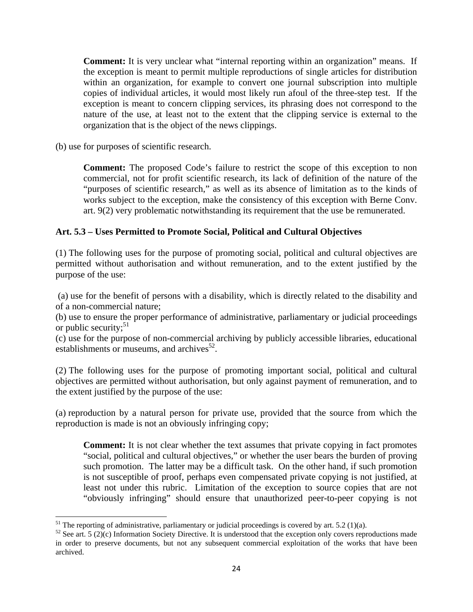**Comment:** It is very unclear what "internal reporting within an organization" means. If the exception is meant to permit multiple reproductions of single articles for distribution within an organization, for example to convert one journal subscription into multiple copies of individual articles, it would most likely run afoul of the three-step test. If the exception is meant to concern clipping services, its phrasing does not correspond to the nature of the use, at least not to the extent that the clipping service is external to the organization that is the object of the news clippings.

(b) use for purposes of scientific research.

**Comment:** The proposed Code's failure to restrict the scope of this exception to non commercial, not for profit scientific research, its lack of definition of the nature of the "purposes of scientific research," as well as its absence of limitation as to the kinds of works subject to the exception, make the consistency of this exception with Berne Conv. art. 9(2) very problematic notwithstanding its requirement that the use be remunerated.

#### **Art. 5.3 – Uses Permitted to Promote Social, Political and Cultural Objectives**

(1) The following uses for the purpose of promoting social, political and cultural objectives are permitted without authorisation and without remuneration, and to the extent justified by the purpose of the use:

 (a) use for the benefit of persons with a disability, which is directly related to the disability and of a non-commercial nature;

(b) use to ensure the proper performance of administrative, parliamentary or judicial proceedings or public security; $51$ 

(c) use for the purpose of non-commercial archiving by publicly accessible libraries, educational establishments or museums, and archives $52$ .

(2) The following uses for the purpose of promoting important social, political and cultural objectives are permitted without authorisation, but only against payment of remuneration, and to the extent justified by the purpose of the use:

(a) reproduction by a natural person for private use, provided that the source from which the reproduction is made is not an obviously infringing copy;

**Comment:** It is not clear whether the text assumes that private copying in fact promotes "social, political and cultural objectives," or whether the user bears the burden of proving such promotion. The latter may be a difficult task. On the other hand, if such promotion is not susceptible of proof, perhaps even compensated private copying is not justified, at least not under this rubric. Limitation of the exception to source copies that are not "obviously infringing" should ensure that unauthorized peer-to-peer copying is not

<sup>&</sup>lt;sup>51</sup> The reporting of administrative, parliamentary or judicial proceedings is covered by art. 5.2 (1)(a).

 $52$  See art. 5 (2)(c) Information Society Directive. It is understood that the exception only covers reproductions made in order to preserve documents, but not any subsequent commercial exploitation of the works that have been archived.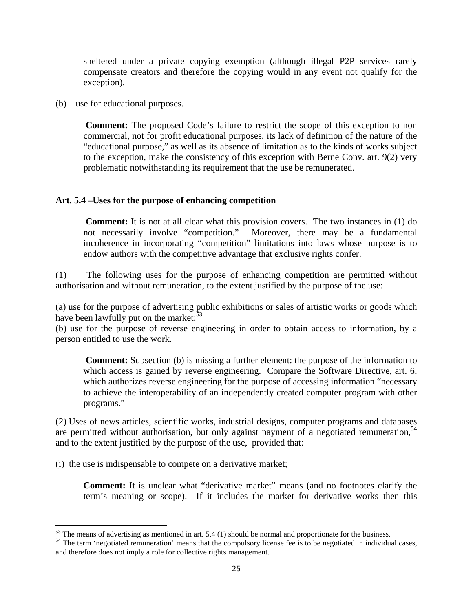sheltered under a private copying exemption (although illegal P2P services rarely compensate creators and therefore the copying would in any event not qualify for the exception).

(b) use for educational purposes.

**Comment:** The proposed Code's failure to restrict the scope of this exception to non commercial, not for profit educational purposes, its lack of definition of the nature of the "educational purpose," as well as its absence of limitation as to the kinds of works subject to the exception, make the consistency of this exception with Berne Conv. art. 9(2) very problematic notwithstanding its requirement that the use be remunerated.

#### **Art. 5.4 –Uses for the purpose of enhancing competition**

**Comment:** It is not at all clear what this provision covers. The two instances in (1) do not necessarily involve "competition." Moreover, there may be a fundamental incoherence in incorporating "competition" limitations into laws whose purpose is to endow authors with the competitive advantage that exclusive rights confer.

(1) The following uses for the purpose of enhancing competition are permitted without authorisation and without remuneration, to the extent justified by the purpose of the use:

(a) use for the purpose of advertising public exhibitions or sales of artistic works or goods which have been lawfully put on the market;  $53$ 

(b) use for the purpose of reverse engineering in order to obtain access to information, by a person entitled to use the work.

**Comment:** Subsection (b) is missing a further element: the purpose of the information to which access is gained by reverse engineering. Compare the Software Directive, art. 6, which authorizes reverse engineering for the purpose of accessing information "necessary to achieve the interoperability of an independently created computer program with other programs."

(2) Uses of news articles, scientific works, industrial designs, computer programs and databases are permitted without authorisation, but only against payment of a negotiated remuneration,  $54$ and to the extent justified by the purpose of the use, provided that:

(i) the use is indispensable to compete on a derivative market;

**Comment:** It is unclear what "derivative market" means (and no footnotes clarify the term's meaning or scope). If it includes the market for derivative works then this

 $53$  The means of advertising as mentioned in art. 5.4 (1) should be normal and proportionate for the business.

<sup>&</sup>lt;sup>54</sup> The term 'negotiated remuneration' means that the compulsory license fee is to be negotiated in individual cases, and therefore does not imply a role for collective rights management.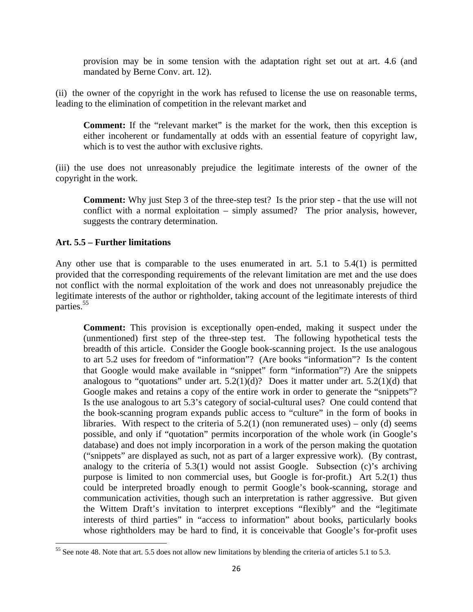provision may be in some tension with the adaptation right set out at art. 4.6 (and mandated by Berne Conv. art. 12).

(ii) the owner of the copyright in the work has refused to license the use on reasonable terms, leading to the elimination of competition in the relevant market and

**Comment:** If the "relevant market" is the market for the work, then this exception is either incoherent or fundamentally at odds with an essential feature of copyright law, which is to vest the author with exclusive rights.

(iii) the use does not unreasonably prejudice the legitimate interests of the owner of the copyright in the work.

**Comment:** Why just Step 3 of the three-step test? Is the prior step - that the use will not conflict with a normal exploitation – simply assumed? The prior analysis, however, suggests the contrary determination.

#### **Art. 5.5 – Further limitations**

Any other use that is comparable to the uses enumerated in art. 5.1 to 5.4(1) is permitted provided that the corresponding requirements of the relevant limitation are met and the use does not conflict with the normal exploitation of the work and does not unreasonably prejudice the legitimate interests of the author or rightholder, taking account of the legitimate interests of third parties.<sup>55</sup>

**Comment:** This provision is exceptionally open-ended, making it suspect under the (unmentioned) first step of the three-step test. The following hypothetical tests the breadth of this article. Consider the Google book-scanning project. Is the use analogous to art 5.2 uses for freedom of "information"? (Are books "information"? Is the content that Google would make available in "snippet" form "information"?) Are the snippets analogous to "quotations" under art.  $5.2(1)(d)$ ? Does it matter under art.  $5.2(1)(d)$  that Google makes and retains a copy of the entire work in order to generate the "snippets"? Is the use analogous to art 5.3's category of social-cultural uses? One could contend that the book-scanning program expands public access to "culture" in the form of books in libraries. With respect to the criteria of  $5.2(1)$  (non remunerated uses) – only (d) seems possible, and only if "quotation" permits incorporation of the whole work (in Google's database) and does not imply incorporation in a work of the person making the quotation ("snippets" are displayed as such, not as part of a larger expressive work). (By contrast, analogy to the criteria of 5.3(1) would not assist Google. Subsection (c)'s archiving purpose is limited to non commercial uses, but Google is for-profit.) Art 5.2(1) thus could be interpreted broadly enough to permit Google's book-scanning, storage and communication activities, though such an interpretation is rather aggressive. But given the Wittem Draft's invitation to interpret exceptions "flexibly" and the "legitimate interests of third parties" in "access to information" about books, particularly books whose rightholders may be hard to find, it is conceivable that Google's for-profit uses

 <sup>55</sup> See note 48. Note that art. 5.5 does not allow new limitations by blending the criteria of articles 5.1 to 5.3.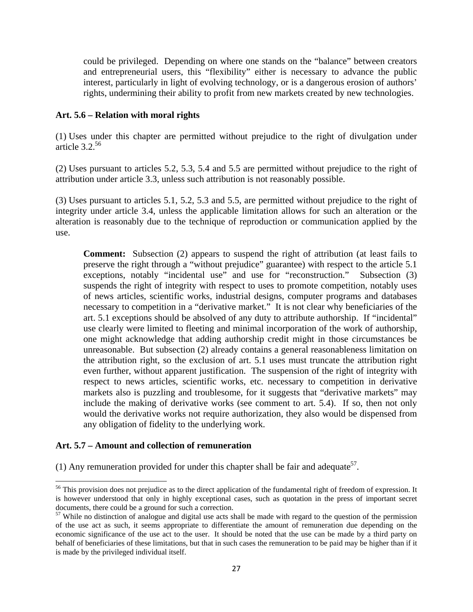could be privileged. Depending on where one stands on the "balance" between creators and entrepreneurial users, this "flexibility" either is necessary to advance the public interest, particularly in light of evolving technology, or is a dangerous erosion of authors' rights, undermining their ability to profit from new markets created by new technologies.

#### **Art. 5.6 – Relation with moral rights**

(1) Uses under this chapter are permitted without prejudice to the right of divulgation under article 3.2.56

(2) Uses pursuant to articles 5.2, 5.3, 5.4 and 5.5 are permitted without prejudice to the right of attribution under article 3.3, unless such attribution is not reasonably possible.

(3) Uses pursuant to articles 5.1, 5.2, 5.3 and 5.5, are permitted without prejudice to the right of integrity under article 3.4, unless the applicable limitation allows for such an alteration or the alteration is reasonably due to the technique of reproduction or communication applied by the use.

**Comment:** Subsection (2) appears to suspend the right of attribution (at least fails to preserve the right through a "without prejudice" guarantee) with respect to the article 5.1 exceptions, notably "incidental use" and use for "reconstruction." Subsection (3) suspends the right of integrity with respect to uses to promote competition, notably uses of news articles, scientific works, industrial designs, computer programs and databases necessary to competition in a "derivative market." It is not clear why beneficiaries of the art. 5.1 exceptions should be absolved of any duty to attribute authorship. If "incidental" use clearly were limited to fleeting and minimal incorporation of the work of authorship, one might acknowledge that adding authorship credit might in those circumstances be unreasonable. But subsection (2) already contains a general reasonableness limitation on the attribution right, so the exclusion of art. 5.1 uses must truncate the attribution right even further, without apparent justification. The suspension of the right of integrity with respect to news articles, scientific works, etc. necessary to competition in derivative markets also is puzzling and troublesome, for it suggests that "derivative markets" may include the making of derivative works (see comment to art. 5.4). If so, then not only would the derivative works not require authorization, they also would be dispensed from any obligation of fidelity to the underlying work.

#### **Art. 5.7 – Amount and collection of remuneration**

(1) Any remuneration provided for under this chapter shall be fair and adequate<sup>57</sup>.

<sup>&</sup>lt;sup>56</sup> This provision does not prejudice as to the direct application of the fundamental right of freedom of expression. It is however understood that only in highly exceptional cases, such as quotation in the press of important secret documents, there could be a ground for such a correction.

 $57$  While no distinction of analogue and digital use acts shall be made with regard to the question of the permission of the use act as such, it seems appropriate to differentiate the amount of remuneration due depending on the economic significance of the use act to the user. It should be noted that the use can be made by a third party on behalf of beneficiaries of these limitations, but that in such cases the remuneration to be paid may be higher than if it is made by the privileged individual itself.